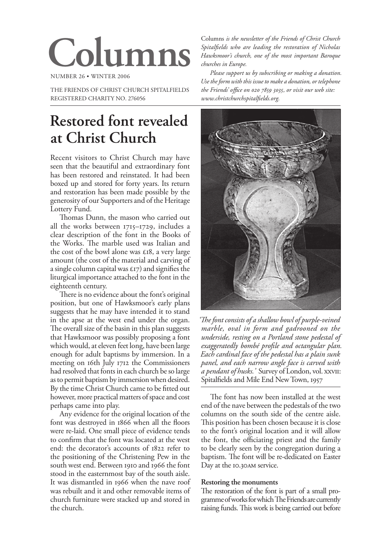# **Columns**

NUMBER 26 WINTER 2006

THE FRIENDS OF CHRIST CHURCH SPITALFIELDS REGISTERED CHARITY NO. 276056

## **Restored font revealed at Christ Church**

Recent visitors to Christ Church may have seen that the beautiful and extraordinary font has been restored and reinstated. It had been boxed up and stored for forty years. Its return and restoration has been made possible by the generosity of our Supporters and of the Heritage Lottery Fund.

Thomas Dunn, the mason who carried out all the works between 1715–1729, includes a clear description of the font in the Books of the Works. The marble used was Italian and the cost of the bowl alone was  $\pounds$ 18, a very large amount (the cost of the material and carving of a single column capital was  $\epsilon$ 17) and signifies the liturgical importance attached to the font in the eighteenth century.

There is no evidence about the font's original position, but one of Hawksmoor's early plans suggests that he may have intended it to stand in the apse at the west end under the organ. The overall size of the basin in this plan suggests that Hawksmoor was possibly proposing a font which would, at eleven feet long, have been large enough for adult baptisms by immersion. In a meeting on 16th July 1712 the Commissioners had resolved that fonts in each church be so large as to permit baptism by immersion when desired. By the time Christ Church came to be fitted out however, more practical matters of space and cost perhaps came into play.

Any evidence for the original location of the font was destroyed in 1866 when all the floors were re-laid. One small piece of evidence tends to confirm that the font was located at the west end: the decorator's accounts of 822 refer to the positioning of the Christening Pew in the south west end. Between 1910 and 1966 the font stood in the easternmost bay of the south aisle. It was dismantled in 1966 when the nave roof was rebuilt and it and other removable items of church furniture were stacked up and stored in the church.

Columns *is the newsletter of the Friends of Christ Church Spitalfields who are leading the restoration of Nicholas Hawksmoor's church, one of the most important Baroque churches in Europe.*

*Please support us by subscribing or making a donation. Use the form with this issue to make a donation, or telephone the Friends' office on 020 7859 3035, or visit our web site: www.christchurchspitalfields.org.*



*'The font consists of a shallow bowl of purple-veined marble, oval in form and gadrooned on the underside, resting on a Portland stone pedestal of exaggeratedly bombé profile and octangular plan. Each cardinal face of the pedestal has a plain sunk panel, and each narrow angle face is carved with a pendant of husks.'* Survey of London, vol. XXVII: Spitalfields and Mile End New Town, 1957

The font has now been installed at the west end of the nave between the pedestals of the two columns on the south side of the centre aisle. This position has been chosen because it is close to the font's original location and it will allow the font, the officiating priest and the family to be clearly seen by the congregation during a baptism. The font will be re-dedicated on Easter Day at the 10.30AM service.

#### **Restoring the monuments**

The restoration of the font is part of a small programme of works for which The Friends are currently raising funds. This work is being carried out before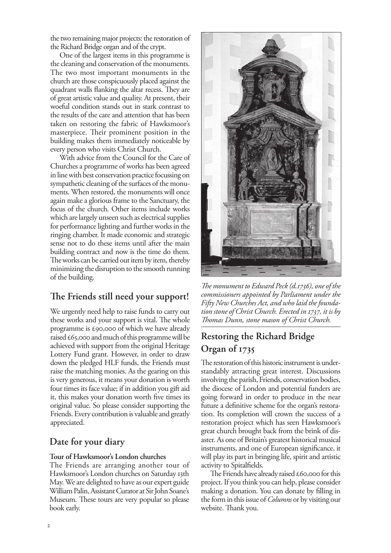the two remaining major projects: the restoration of the Richard Bridge organ and of the crypt.

One of the largest items in this programme is the cleaning and conservation of the monuments. The two most important monuments in the church are those conspicuously placed against the quadrant walls flanking the altar recess. They are of great artistic value and quality. At present, their woeful condition stands out in stark contrast to the results of the care and attention that has been taken on restoring the fabric of Hawksmoor's masterpiece. Their prominent position in the building makes them immediately noticeable by every person who visits Christ Church.

With advice from the Council for the Care of Churches a programme of works has been agreed in line with best conservation practice focussing on sympathetic cleaning of the surfaces of the monuments. When restored, the monuments will once again make a glorious frame to the Sanctuary, the focus of the church. Other items include works which are largely unseen such as electrical supplies for performance lighting and further works in the ringing chamber. It made economic and strategic sense not to do these items until after the main building contract and now is the time do them. The works can be carried out item by item, thereby minimizing the disruption to the smooth running of the building.

## **The Friends still need your support!**

We urgently need help to raise funds to carry out these works and your support is vital. The whole programme is £90,000 of which we have already raised  $\pounds$ 65,000 and much of this programme will be achieved with support from the original Heritage Lottery Fund grant. However, in order to draw down the pledged HLF funds, the Friends must raise the matching monies. As the gearing on this is very generous, it means your donation is worth four times its face value; if in addition you gift aid it, this makes your donation worth five times its original value. So please consider supporting the Friends. Every contribution is valuable and greatly appreciated.

## **Date for your diary**

#### **Tour of Hawksmoor's London churches**

The Friends are arranging another tour of Hawksmoor's London churches on Saturday 13th May. We are delighted to have as our expert guide William Palin, Assistant Curator at Sir John Soane's Museum. These tours are very popular so please book early.



*The monument to Edward Peck (d.1736), one of the commissioners appointed by Parliament under the Fifty New Churches Act, and who laid the foundation stone of Christ Church. Erected in 1737, it is by Thomas Dunn, stone mason of Christ Church.*

## **Restoring the Richard Bridge Organ of 1735**

The restoration of this historic instrument is understandably attracting great interest. Discussions involving the parish, Friends, conservation bodies, the diocese of London and potential funders are going forward in order to produce in the near future a definitive scheme for the organ's restoration. Its completion will crown the success of a restoration project which has seen Hawksmoor's great church brought back from the brink of disaster. As one of Britain's greatest historical musical instruments, and one of European significance, it will play its part in bringing life, spirit and artistic activity to Spitalfields.

The Friends have already raised  $\epsilon$ 60,000 for this project. If you think you can help, please consider making a donation. You can donate by filling in the form in this issue of *Columns* or by visiting our website. Thank you.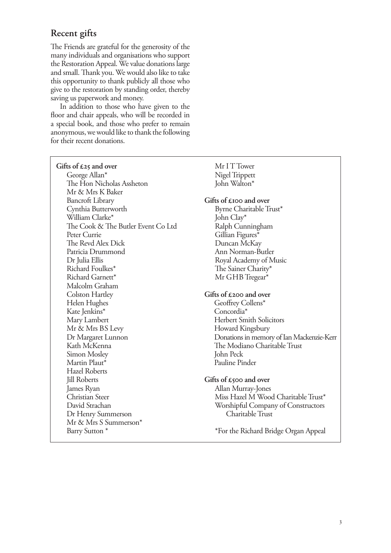## **Recent gifts**

The Friends are grateful for the generosity of the many individuals and organisations who support the Restoration Appeal. We value donations large and small. Thank you. We would also like to take this opportunity to thank publicly all those who give to the restoration by standing order, thereby saving us paperwork and money.

In addition to those who have given to the floor and chair appeals, who will be recorded in a special book, and those who prefer to remain anonymous, we would like to thank the following for their recent donations.

| Gifts of $\pounds 25$ and over     | Mr I T Tower                              |
|------------------------------------|-------------------------------------------|
| George Allan*                      | Nigel Trippett                            |
| The Hon Nicholas Assheton          | John Walton*                              |
| Mr & Mrs K Baker                   |                                           |
| <b>Bancroft Library</b>            | Gifts of $\epsilon$ 100 and over          |
| Cynthia Butterworth                | Byrne Charitable Trust*                   |
| William Clarke*                    | John Clay*                                |
| The Cook & The Butler Event Co Ltd | Ralph Cunningham                          |
| Peter Currie                       | Gillian Figures*                          |
| The Revd Alex Dick                 | Duncan McKay                              |
| Patricia Drummond                  | Ann Norman-Butler                         |
| Dr Julia Ellis                     | Royal Academy of Music                    |
| Richard Foulkes*                   | The Sainer Charity*                       |
| Richard Garnett*                   | Mr GHB Tregear*                           |
| Malcolm Graham                     |                                           |
| Colston Hartley                    | Gifts of $\pounds$ 200 and over           |
| Helen Hughes                       | Geoffrey Collens*                         |
| Kate Jenkins*                      | Concordia*                                |
| Mary Lambert                       | <b>Herbert Smith Solicitors</b>           |
| Mr & Mrs BS Levy                   | Howard Kingsbury                          |
| Dr Margaret Lunnon                 | Donations in memory of Ian Mackenzie-Kerr |
| Kath McKenna                       | The Modiano Charitable Trust              |
| Simon Mosley                       | John Peck                                 |
| Martin Plaut*                      | Pauline Pinder                            |
| <b>Hazel Roberts</b>               |                                           |
| <b>Jill Roberts</b>                | Gifts of $\epsilon$ 500 and over          |
| James Ryan                         | Allan Murray-Jones                        |
| <b>Christian Steer</b>             | Miss Hazel M Wood Charitable Trust*       |
| David Strachan                     | Worshipful Company of Constructors        |
| Dr Henry Summerson                 | Charitable Trust                          |
| Mr & Mrs S Summerson*              |                                           |
| Barry Sutton <sup>*</sup>          | *For the Richard Bridge Organ Appeal      |
|                                    |                                           |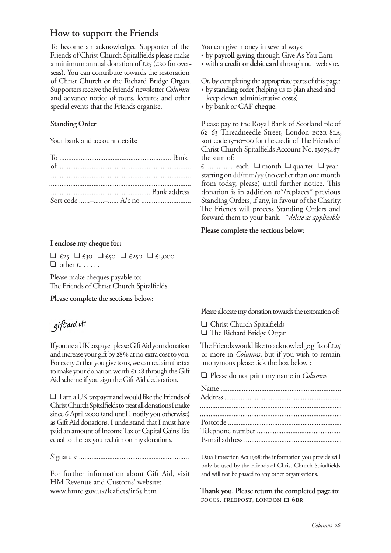## **How to support the Friends**

To become an acknowledged Supporter of the Friends of Christ Church Spitalfields please make a minimum annual donation of  $\mathcal{L}25$  ( $\mathcal{L}30$  for overseas). You can contribute towards the restoration of Christ Church or the Richard Bridge Organ. Supporters receive the Friends' newsletter *Columns*  and advance notice of tours, lectures and other special events that the Friends organise. **Standing Order** Your bank and account details: To ............................................................... Bank of ........................................................................... ................................................................................ ................................................................................ ......................................................... Bank address Sort code ......–......–...... A/c no ............................ You can give money in several ways: by **payroll giving** through Give As You Earn with a **credit or debit card** through our web site. Or, by completing the appropriate parts of this page: by **standing order** (helping us to plan ahead and keep down administrative costs) by bank or CAF **cheque**. Please pay to the Royal Bank of Scotland plc of 62‒63 Threadneedle Street, London EC2R 8LA, sort code 15–10–00 for the credit of The Friends of Christ Church Spitalfields Account No. 13075487 the sum of: £ .............. each ❑ month ❑ quarter ❑ year starting on dd/mm/yy (no earlier than one month from today, please) until further notice. This donation is in addition to\*/replaces\* previous Standing Orders, if any, in favour of the Charity. The Friends will process Standing Orders and forward them to your bank. \**delete as applicable* **Please complete the sections below:**

#### **I enclose my cheque for:**

 $\Box$  £25  $\Box$  £30  $\Box$  £250  $\Box$  £1,000  $\Box$  other £......

Please make cheques payable to: The Friends of Christ Church Spitalfields.

#### **Please complete the sections below:**

giftaid it

If you are a UK taxpayer please Gift Aid your donation and increase your gift by 28% at no extra cost to you. For every  $\epsilon$  that you give to us, we can reclaim the tax to make your donation worth  $\pounds$ 1.28 through the Gift Aid scheme if you sign the Gift Aid declaration.

❑ I am a UK taxpayer and would like the Friends of Christ Church Spitalfields to treat all donations I make since 6 April 2000 (and until I notify you otherwise) as Gift Aid donations. I understand that I must have paid an amount of Income Tax or Capital Gains Tax equal to the tax you reclaim on my donations.

Signature ..............................................................

For further information about Gift Aid, visit HM Revenue and Customs' website: www.hmrc.gov.uk/leaflets/ir65.htm

Please allocate my donation towards the restoration of:

❑ Christ Church Spitalfields ❑ The Richard Bridge Organ

The Friends would like to acknowledge gifts of  $\epsilon$ 25 or more in *Columns*, but if you wish to remain anonymous please tick the box below :

❑ Please do not print my name in *Columns*

Data Protection Act 1998: the information you provide will only be used by the Friends of Christ Church Spitalfields and will not be passed to any other organisations.

**Thank you. Please return the completed page to:** FOCCS, FREEPOST, LONDON EI 6BR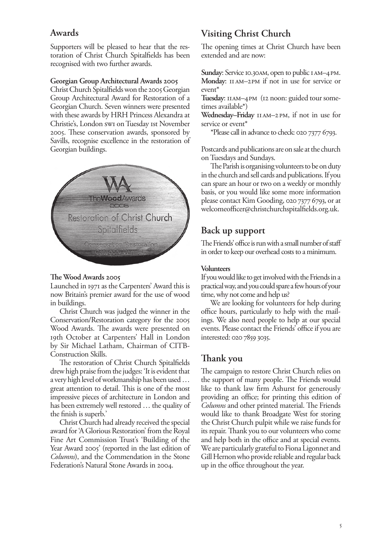## **Awards**

Supporters will be pleased to hear that the restoration of Christ Church Spitalfields has been recognised with two further awards.

#### **Georgian Group Architectural Awards 2005**

Christ Church Spitalfields won the 2005 Georgian Group Architectural Award for Restoration of a Georgian Church. Seven winners were presented with these awards by HRH Princess Alexandra at Christie's, London swi on Tuesday ist November 2005. These conservation awards, sponsored by Savills, recognise excellence in the restoration of Georgian buildings.



#### **The Wood Awards 2005**

Launched in 1971 as the Carpenters' Award this is now Britain's premier award for the use of wood in buildings.

Christ Church was judged the winner in the Conservation/Restoration category for the 2005 Wood Awards. The awards were presented on 19th October at Carpenters' Hall in London by Sir Michael Latham, Chairman of CITB-Construction Skills.

The restoration of Christ Church Spitalfields drew high praise from the judges: 'It is evident that a very high level of workmanship has been used … great attention to detail. This is one of the most impressive pieces of architecture in London and has been extremely well restored … the quality of the finish is superb.'

Christ Church had already received the special award for 'A Glorious Restoration' from the Royal Fine Art Commission Trust's 'Building of the Year Award 2005' (reported in the last edition of *Columns*), and the Commendation in the Stone Federation's Natural Stone Awards in 2004.

## **Visiting Christ Church**

The opening times at Christ Church have been extended and are now:

Sunday: Service 10.30AM, open to public IAM-4PM. Monday: II AM–2PM if not in use for service or event\*

Tuesday: IIAM-4PM (12 noon: guided tour sometimes available\*)

Wednesday–Friday IIAM–2PM, if not in use for service or event<sup>\*</sup>

\*Please call in advance to check: 020 7377 6793.

Postcards and publications are on sale at the church on Tuesdays and Sundays.

The Parish is organising volunteers to be on duty in the church and sell cards and publications. If you can spare an hour or two on a weekly or monthly basis, or you would like some more information please contact Kim Gooding, 020 7377 6793, or at welcomeofficer@christchurchspitalfields.org.uk.

## **Back up support**

The Friends' office is run with a small number of staff in order to keep our overhead costs to a minimum.

#### **Volunteers**

If you would like to get involved with the Friends in a practical way, and you could spare a few hours of your time, why not come and help us?

We are looking for volunteers for help during office hours, particularly to help with the mailings. We also need people to help at our special events. Please contact the Friends' office if you are interested: 020 7859 3035.

## **Thank you**

The campaign to restore Christ Church relies on the support of many people. The Friends would like to thank law firm Ashurst for generously providing an office; for printing this edition of *Columns* and other printed material. The Friends would like to thank Broadgate West for storing the Christ Church pulpit while we raise funds for its repair. Thank you to our volunteers who come and help both in the office and at special events. We are particularly grateful to Fiona Ligonnet and Gill Hernon who provide reliable and regular back up in the office throughout the year.